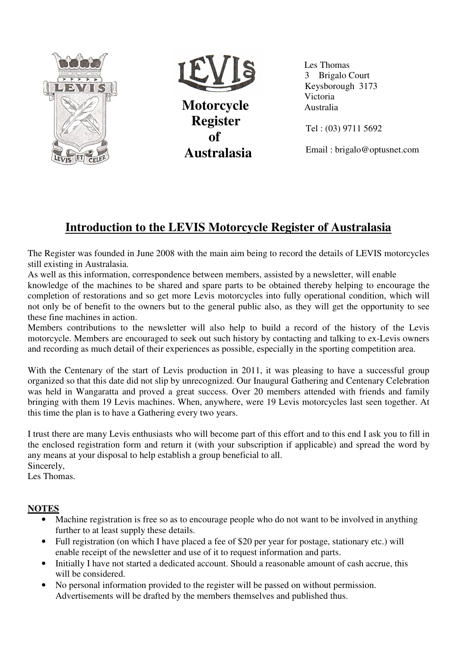



 **Motorcycle Register of Australasia**   Les Thomas 3 Brigalo Court Keysborough 3173 Victoria Australia

Tel : (03) 9711 5692

Email : brigalo@optusnet.com

# **Introduction to the LEVIS Motorcycle Register of Australasia**

The Register was founded in June 2008 with the main aim being to record the details of LEVIS motorcycles still existing in Australasia.

As well as this information, correspondence between members, assisted by a newsletter, will enable

knowledge of the machines to be shared and spare parts to be obtained thereby helping to encourage the completion of restorations and so get more Levis motorcycles into fully operational condition, which will not only be of benefit to the owners but to the general public also, as they will get the opportunity to see these fine machines in action.

Members contributions to the newsletter will also help to build a record of the history of the Levis motorcycle. Members are encouraged to seek out such history by contacting and talking to ex-Levis owners and recording as much detail of their experiences as possible, especially in the sporting competition area.

With the Centenary of the start of Levis production in 2011, it was pleasing to have a successful group organized so that this date did not slip by unrecognized. Our Inaugural Gathering and Centenary Celebration was held in Wangaratta and proved a great success. Over 20 members attended with friends and family bringing with them 19 Levis machines. When, anywhere, were 19 Levis motorcycles last seen together. At this time the plan is to have a Gathering every two years.

I trust there are many Levis enthusiasts who will become part of this effort and to this end I ask you to fill in the enclosed registration form and return it (with your subscription if applicable) and spread the word by any means at your disposal to help establish a group beneficial to all. Sincerely,

Les Thomas.

#### **NOTES**

- Machine registration is free so as to encourage people who do not want to be involved in anything further to at least supply these details.
- Full registration (on which I have placed a fee of \$20 per year for postage, stationary etc.) will enable receipt of the newsletter and use of it to request information and parts.
- Initially I have not started a dedicated account. Should a reasonable amount of cash accrue, this will be considered.
- No personal information provided to the register will be passed on without permission. Advertisements will be drafted by the members themselves and published thus.